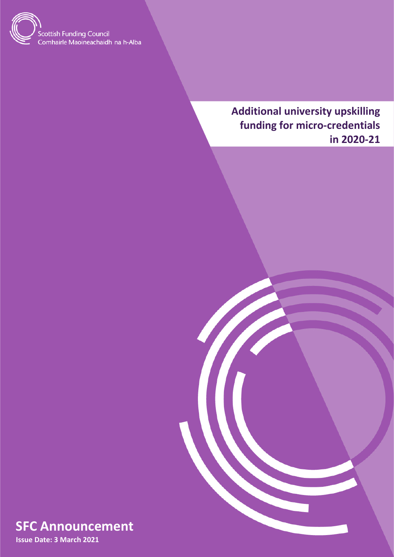

**Additional university upskilling funding for micro-credentials in 2020-21**



**Issue Date: 3 March 2021**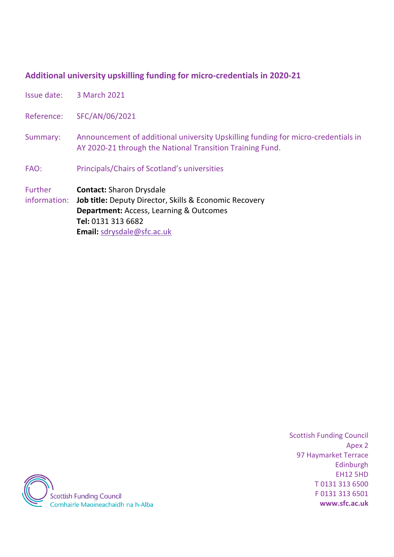#### **Additional university upskilling funding for micro-credentials in 2020-21**

Issue date: 3 March 2021

Reference: SFC/AN/06/2021

Summary: Announcement of additional university Upskilling funding for micro-credentials in AY 2020-21 through the National Transition Training Fund.

FAO: Principals/Chairs of Scotland's universities

Further **Contact:** Sharon Drysdale

information: **Job title:** Deputy Director, Skills & Economic Recovery **Department:** Access, Learning & Outcomes **Tel:** 0131 313 6682 **Email:** [sdrysdale@sfc.ac.uk](mailto:sdrysdale@sfc.ac.uk)

> Scottish Funding Council Apex 2 97 Haymarket Terrace Edinburgh EH12 5HD T 0131 313 6500 F 0131 313 6501 **www.sfc.ac.uk**

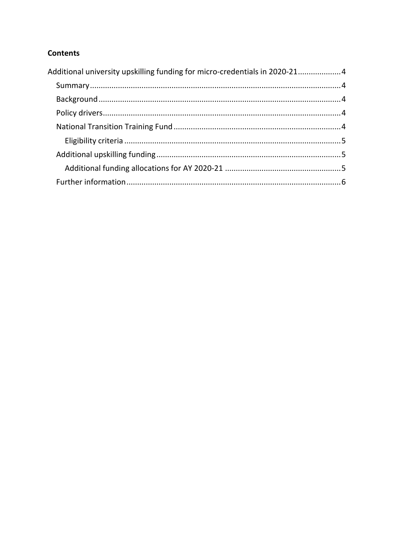# **Contents**

| Additional university upskilling funding for micro-credentials in 2020-214 |  |
|----------------------------------------------------------------------------|--|
|                                                                            |  |
|                                                                            |  |
|                                                                            |  |
|                                                                            |  |
|                                                                            |  |
|                                                                            |  |
|                                                                            |  |
|                                                                            |  |
|                                                                            |  |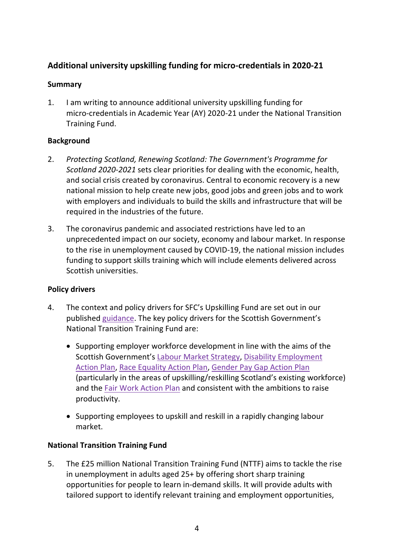# <span id="page-3-0"></span>**Additional university upskilling funding for micro-credentials in 2020-21**

#### <span id="page-3-1"></span>**Summary**

1. I am writing to announce additional university upskilling funding for micro-credentials in Academic Year (AY) 2020-21 under the National Transition Training Fund.

# <span id="page-3-2"></span>**Background**

- 2. *Protecting Scotland, Renewing Scotland: The Government's Programme for Scotland 2020-2021* sets clear priorities for dealing with the economic, health, and social crisis created by coronavirus. Central to economic recovery is a new national mission to help create new jobs, good jobs and green jobs and to work with employers and individuals to build the skills and infrastructure that will be required in the industries of the future.
- 3. The coronavirus pandemic and associated restrictions have led to an unprecedented impact on our society, economy and labour market. In response to the rise in unemployment caused by COVID-19, the national mission includes funding to support skills training which will include elements delivered across Scottish universities.

#### <span id="page-3-3"></span>**Policy drivers**

- 4. The context and policy drivers for SFC's Upskilling Fund are set out in our published [guidance.](http://www.sfc.ac.uk/web/FILES/guidance_sfcgd212020/SFCGD212020_Upskilling_Fund_for_universities_in_AY_2020-21.pdf) The key policy drivers for the Scottish Government's National Transition Training Fund are:
	- Supporting employer workforce development in line with the aims of the Scottish Government's [Labour Market Strategy,](https://www.gov.scot/publications/scotlands-labour-market-strategy/) [Disability Employment](https://www.gov.scot/publications/fairer-scotland-disabled-people-employment-action-plan-progress-report/)  [Action Plan,](https://www.gov.scot/publications/fairer-scotland-disabled-people-employment-action-plan-progress-report/) [Race Equality Action Plan,](https://www.gov.scot/publications/race-equality-action-plan-year-two-progress-update/) [Gender Pay Gap Action Plan](https://www.gov.scot/binaries/content/documents/govscot/publications/strategy-plan/2019/03/fairer-scotland-women-gender-pay-gap-action-plan/documents/analytical-annex/analytical-annex/govscot%3Adocument/analytical-annex.pdf) (particularly in the areas of upskilling/reskilling Scotland's existing workforce) and the [Fair Work Action Plan](https://www.gov.scot/publications/fair-work-action-plan/) and consistent with the ambitions to raise productivity.
	- Supporting employees to upskill and reskill in a rapidly changing labour market.

# <span id="page-3-4"></span>**National Transition Training Fund**

5. The £25 million National Transition Training Fund (NTTF) aims to tackle the rise in unemployment in adults aged 25+ by offering short sharp training opportunities for people to learn in-demand skills. It will provide adults with tailored support to identify relevant training and employment opportunities,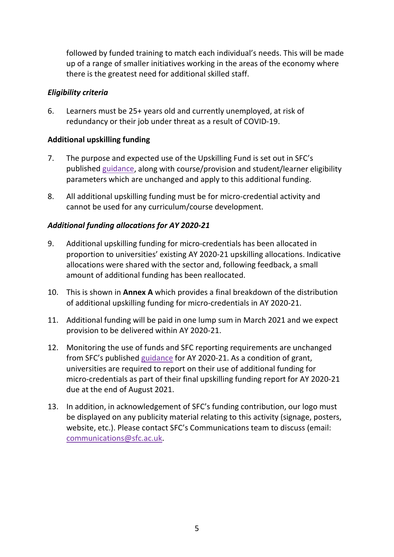followed by funded training to match each individual's needs. This will be made up of a range of smaller initiatives working in the areas of the economy where there is the greatest need for additional skilled staff.

#### <span id="page-4-0"></span>*Eligibility criteria*

6. Learners must be 25+ years old and currently unemployed, at risk of redundancy or their job under threat as a result of COVID-19.

# <span id="page-4-1"></span>**Additional upskilling funding**

- 7. The purpose and expected use of the Upskilling Fund is set out in SFC's published [guidance,](http://www.sfc.ac.uk/web/FILES/guidance_sfcgd212020/SFCGD212020_Upskilling_Fund_for_universities_in_AY_2020-21.pdf) along with course/provision and student/learner eligibility parameters which are unchanged and apply to this additional funding.
- 8. All additional upskilling funding must be for micro-credential activity and cannot be used for any curriculum/course development.

# <span id="page-4-2"></span>*Additional funding allocations for AY 2020-21*

- 9. Additional upskilling funding for micro-credentials has been allocated in proportion to universities' existing AY 2020-21 upskilling allocations. Indicative allocations were shared with the sector and, following feedback, a small amount of additional funding has been reallocated.
- 10. This is shown in **Annex A** which provides a final breakdown of the distribution of additional upskilling funding for micro-credentials in AY 2020-21.
- 11. Additional funding will be paid in one lump sum in March 2021 and we expect provision to be delivered within AY 2020-21.
- 12. Monitoring the use of funds and SFC reporting requirements are unchanged from SFC's published [guidance](http://www.sfc.ac.uk/web/FILES/guidance_sfcgd212020/SFCGD212020_Upskilling_Fund_for_universities_in_AY_2020-21.pdf) for AY 2020-21. As a condition of grant, universities are required to report on their use of additional funding for micro-credentials as part of their final upskilling funding report for AY 2020-21 due at the end of August 2021.
- <span id="page-4-3"></span>13. In addition, in acknowledgement of SFC's funding contribution, our logo must be displayed on any publicity material relating to this activity (signage, posters, website, etc.). Please contact SFC's Communications team to discuss (email: [communications@sfc.ac.uk.](mailto:communications@sfc.ac.uk)